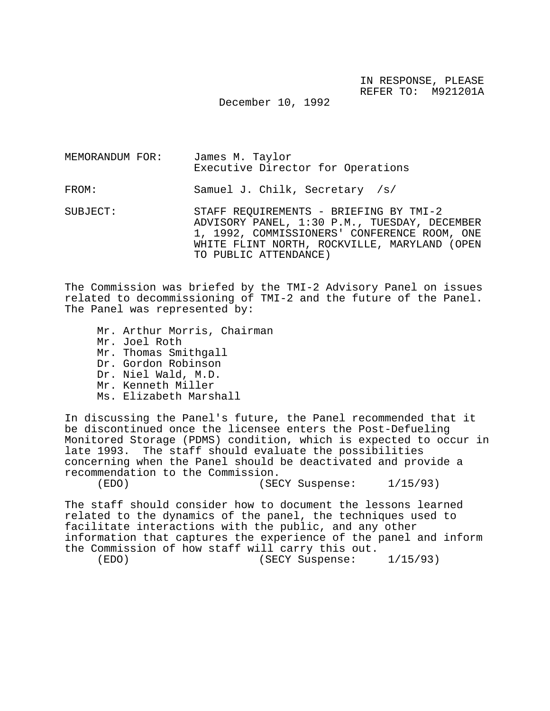December 10, 1992

| MEMORANDUM FOR: | James M. Taylor<br>Executive Director for Operations                                                                                                                                   |
|-----------------|----------------------------------------------------------------------------------------------------------------------------------------------------------------------------------------|
| FROM:           | Samuel J. Chilk, Secretary /s/                                                                                                                                                         |
| SUBJECT:        | STAFF REQUIREMENTS - BRIEFING BY TMI-2<br>ADVISORY PANEL, 1:30 P.M., TUESDAY, DECEMBER<br>1, 1992, COMMISSIONERS' CONFERENCE ROOM, ONE<br>WHITE FLINT NORTH, ROCKVILLE, MARYLAND (OPEN |

TO PUBLIC ATTENDANCE)

The Commission was briefed by the TMI-2 Advisory Panel on issues related to decommissioning of TMI-2 and the future of the Panel. The Panel was represented by:

Mr. Arthur Morris, Chairman Mr. Joel Roth Mr. Thomas Smithgall Dr. Gordon Robinson Dr. Niel Wald, M.D. Mr. Kenneth Miller Ms. Elizabeth Marshall

In discussing the Panel's future, the Panel recommended that it be discontinued once the licensee enters the Post-Defueling Monitored Storage (PDMS) condition, which is expected to occur in late 1993. The staff should evaluate the possibilities concerning when the Panel should be deactivated and provide a recommendation to the Commission.

(EDO) (SECY Suspense: 1/15/93)

The staff should consider how to document the lessons learned related to the dynamics of the panel, the techniques used to facilitate interactions with the public, and any other information that captures the experience of the panel and inform the Commission of how staff will carry this out. (EDO) (SECY Suspense: 1/15/93)